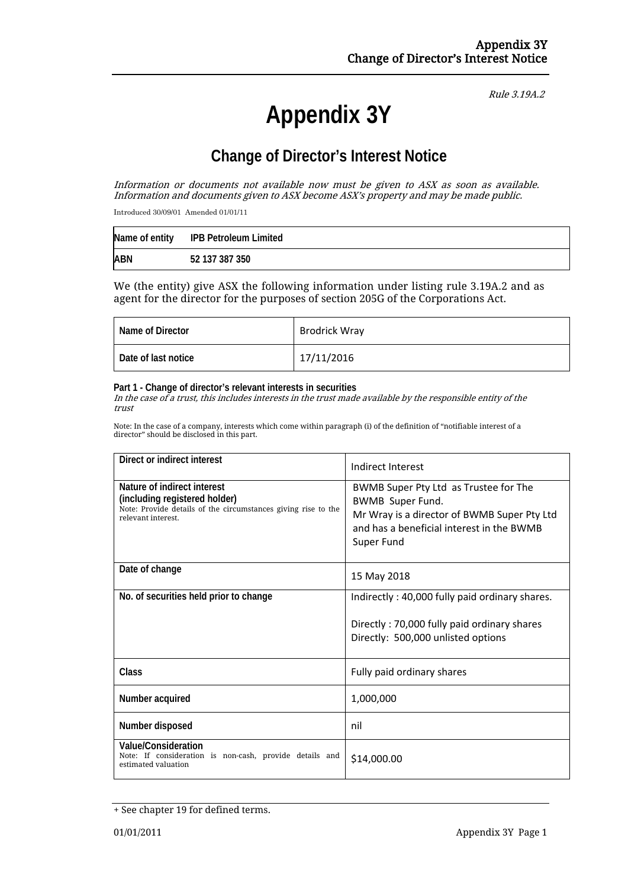# **Appendix 3Y**

Rule 3.19A.2

## **Change of Director's Interest Notice**

Information or documents not available now must be given to ASX as soon as available. Information and documents given to ASX become ASX's property and may be made public.

Introduced 30/09/01 Amended 01/01/11

|            | Name of entity IPB Petroleum Limited |
|------------|--------------------------------------|
| <b>ABN</b> | 52 137 387 350                       |

We (the entity) give ASX the following information under listing rule 3.19A.2 and as agent for the director for the purposes of section 205G of the Corporations Act.

| Name of Director    | <b>Brodrick Wray</b> |
|---------------------|----------------------|
| Date of last notice | 17/11/2016           |

#### **Part 1 - Change of director's relevant interests in securities**

In the case of a trust, this includes interests in the trust made available by the responsible entity of the trust

Note: In the case of a company, interests which come within paragraph (i) of the definition of "notifiable interest of a director" should be disclosed in this part.

| Direct or indirect interest                                                                                                                         | Indirect Interest                                                                                                                                                          |  |
|-----------------------------------------------------------------------------------------------------------------------------------------------------|----------------------------------------------------------------------------------------------------------------------------------------------------------------------------|--|
| Nature of indirect interest<br>(including registered holder)<br>Note: Provide details of the circumstances giving rise to the<br>relevant interest. | BWMB Super Pty Ltd as Trustee for The<br><b>BWMB Super Fund.</b><br>Mr Wray is a director of BWMB Super Pty Ltd<br>and has a beneficial interest in the BWMB<br>Super Fund |  |
| Date of change                                                                                                                                      | 15 May 2018                                                                                                                                                                |  |
| No. of securities held prior to change                                                                                                              | Indirectly: 40,000 fully paid ordinary shares.                                                                                                                             |  |
|                                                                                                                                                     | Directly: 70,000 fully paid ordinary shares<br>Directly: 500,000 unlisted options                                                                                          |  |
| Class                                                                                                                                               | Fully paid ordinary shares                                                                                                                                                 |  |
| Number acquired                                                                                                                                     | 1,000,000                                                                                                                                                                  |  |
| Number disposed                                                                                                                                     | nil                                                                                                                                                                        |  |
| <b>Value/Consideration</b><br>Note: If consideration is non-cash, provide details and<br>estimated valuation                                        | \$14,000.00                                                                                                                                                                |  |

<sup>+</sup> See chapter 19 for defined terms.